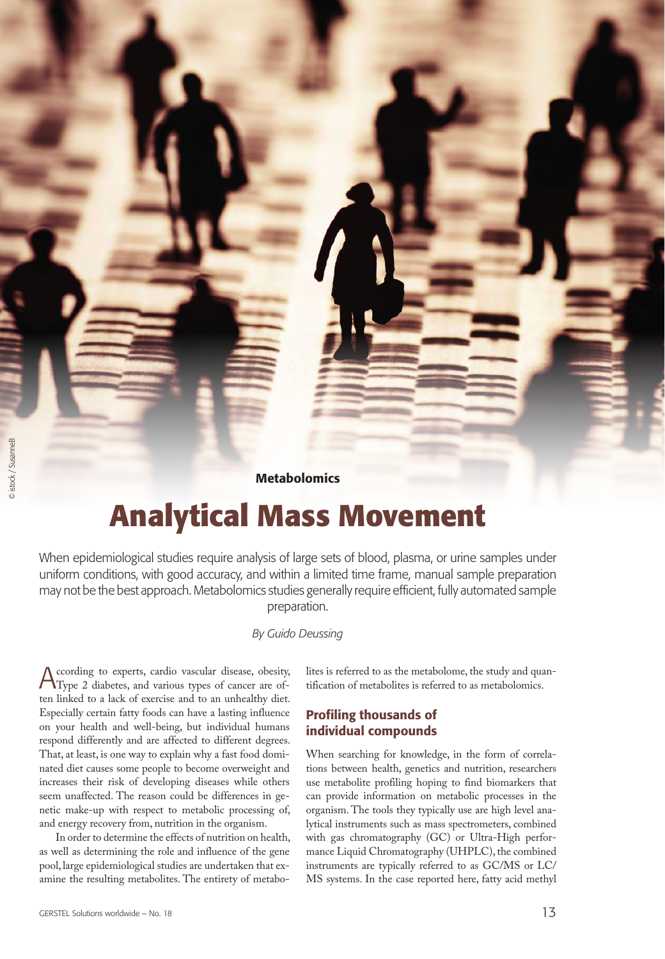#### **Metabolomics**

# **Analytical Mass Movement**

When epidemiological studies require analysis of large sets of blood, plasma, or urine samples under uniform conditions, with good accuracy, and within a limited time frame, manual sample preparation may not be the best approach. Metabolomics studies generally require efficient, fully automated sample preparation.

*By Guido Deussing*

According to experts, cardio vascular disease, obesity, Type 2 diabetes, and various types of cancer are often linked to a lack of exercise and to an unhealthy diet. Especially certain fatty foods can have a lasting influence on your health and well-being, but individual humans respond differently and are affected to different degrees. That, at least, is one way to explain why a fast food dominated diet causes some people to become overweight and increases their risk of developing diseases while others seem unaffected. The reason could be differences in genetic make-up with respect to metabolic processing of, and energy recovery from, nutrition in the organism.

In order to determine the effects of nutrition on health, as well as determining the role and influence of the gene pool, large epidemiological studies are undertaken that examine the resulting metabolites. The entirety of metabolites is referred to as the metabolome, the study and quantification of metabolites is referred to as metabolomics.

## Profiling thousands of individual compounds

When searching for knowledge, in the form of correlations between health, genetics and nutrition, researchers use metabolite profiling hoping to find biomarkers that can provide information on metabolic processes in the organism. The tools they typically use are high level analytical instruments such as mass spectrometers, combined with gas chromatography (GC) or Ultra-High performance Liquid Chromatography (UHPLC), the combined instruments are typically referred to as GC/MS or LC/ MS systems. In the case reported here, fatty acid methyl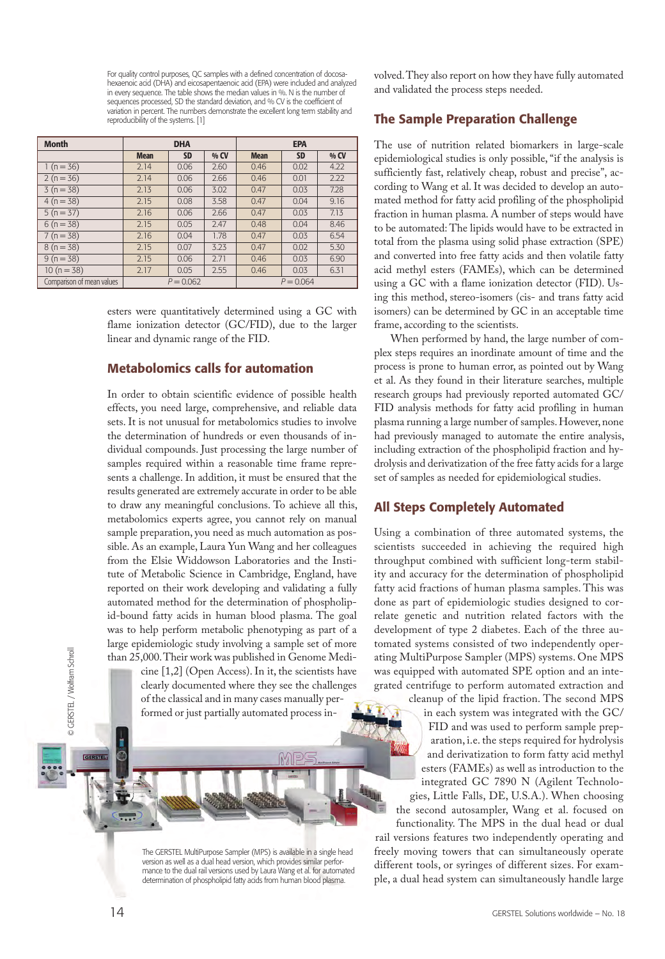For quality control purposes, QC samples with a defined concentration of docosahexaenoic acid (DHA) and eicosapentaenoic acid (EPA) were included and analyzed in every sequence. The table shows the median values in %. N is the number of sequences processed, SD the standard deviation, and % CV is the coefficient of variation in percent. The numbers demonstrate the excellent long term stability and reproducibility of the systems. [1]

| <b>Month</b>              | <b>DHA</b>  |           |      | <b>EPA</b>  |           |      |
|---------------------------|-------------|-----------|------|-------------|-----------|------|
|                           | <b>Mean</b> | <b>SD</b> | % CV | <b>Mean</b> | <b>SD</b> | % CV |
| 1 ( $n = 36$ )            | 2.14        | 0.06      | 2.60 | 0.46        | 0.02      | 4.22 |
| $2(n=36)$                 | 2.14        | 0.06      | 2.66 | 0.46        | 0.01      | 2.22 |
| $3(n=38)$                 | 2.13        | 0.06      | 3.02 | 0.47        | 0.03      | 7.28 |
| $4(n=38)$                 | 2.15        | 0.08      | 3.58 | 0.47        | 0.04      | 9.16 |
| $5(n=37)$                 | 2.16        | 0.06      | 2.66 | 0.47        | 0.03      | 7.13 |
| $6(n=38)$                 | 2.15        | 0.05      | 2.47 | 0.48        | 0.04      | 8.46 |
| $7(n=38)$                 | 2.16        | 0.04      | 1.78 | 0.47        | 0.03      | 6.54 |
| $8(n=38)$                 | 2.15        | 0.07      | 3.23 | 0.47        | 0.02      | 5.30 |
| $9(n=38)$                 | 2.15        | 0.06      | 2.71 | 0.46        | 0.03      | 6.90 |
| $10(n = 38)$              | 2.17        | 0.05      | 2.55 | 0.46        | 0.03      | 6.31 |
| Comparison of mean values | $P = 0.062$ |           |      | $P = 0.064$ |           |      |

esters were quantitatively determined using a GC with flame ionization detector (GC/FID), due to the larger linear and dynamic range of the FID.

## Metabolomics calls for automation

In order to obtain scientific evidence of possible health effects, you need large, comprehensive, and reliable data sets. It is not unusual for metabolomics studies to involve the determination of hundreds or even thousands of individual compounds. Just processing the large number of samples required within a reasonable time frame represents a challenge. In addition, it must be ensured that the results generated are extremely accurate in order to be able to draw any meaningful conclusions. To achieve all this, metabolomics experts agree, you cannot rely on manual sample preparation, you need as much automation as possible. As an example, Laura Yun Wang and her colleagues from the Elsie Widdowson Laboratories and the Institute of Metabolic Science in Cambridge, England, have reported on their work developing and validating a fully automated method for the determination of phospholipid-bound fatty acids in human blood plasma. The goal was to help perform metabolic phenotyping as part of a large epidemiologic study involving a sample set of more than 25,000. Their work was published in Genome Medi-

> cine [1,2] (Open Access). In it, the scientists have clearly documented where they see the challenges of the classical and in many cases manually performed or just partially automated process in-

> The GERSTEL MultiPurpose Sampler (MPS) is available in a single head version as well as a dual head version, which provides similar performance to the dual rail versions used by Laura Wang et al. for automated determination of phospholipid fatty acids from human blood plasma.

volved. They also report on how they have fully automated and validated the process steps needed.

## The Sample Preparation Challenge

The use of nutrition related biomarkers in large-scale epidemiological studies is only possible, "if the analysis is sufficiently fast, relatively cheap, robust and precise", according to Wang et al. It was decided to develop an automated method for fatty acid profiling of the phospholipid fraction in human plasma. A number of steps would have to be automated: The lipids would have to be extracted in total from the plasma using solid phase extraction (SPE) and converted into free fatty acids and then volatile fatty acid methyl esters (FAMEs), which can be determined using a GC with a flame ionization detector (FID). Using this method, stereo-isomers (cis- and trans fatty acid isomers) can be determined by GC in an acceptable time frame, according to the scientists.

When performed by hand, the large number of complex steps requires an inordinate amount of time and the process is prone to human error, as pointed out by Wang et al. As they found in their literature searches, multiple research groups had previously reported automated GC/ FID analysis methods for fatty acid profiling in human plasma running a large number of samples. However, none had previously managed to automate the entire analysis, including extraction of the phospholipid fraction and hydrolysis and derivatization of the free fatty acids for a large set of samples as needed for epidemiological studies.

#### All Steps Completely Automated

Using a combination of three automated systems, the scientists succeeded in achieving the required high throughput combined with sufficient long-term stability and accuracy for the determination of phospholipid fatty acid fractions of human plasma samples. This was done as part of epidemiologic studies designed to correlate genetic and nutrition related factors with the development of type 2 diabetes. Each of the three automated systems consisted of two independently operating MultiPurpose Sampler (MPS) systems. One MPS was equipped with automated SPE option and an integrated centrifuge to perform automated extraction and

cleanup of the lipid fraction. The second MPS in each system was integrated with the GC/ FID and was used to perform sample preparation, i.e. the steps required for hydrolysis and derivatization to form fatty acid methyl esters (FAMEs) as well as introduction to the integrated GC 7890 N (Agilent Technologies, Little Falls, DE, U.S.A.). When choosing the second autosampler, Wang et al. focused on functionality. The MPS in the dual head or dual

rail versions features two independently operating and freely moving towers that can simultaneously operate different tools, or syringes of different sizes. For example, a dual head system can simultaneously handle large

© GERSTEL / Wolfram Schroll

GERSTEL

© GERSTEL / Wolfram Schroll